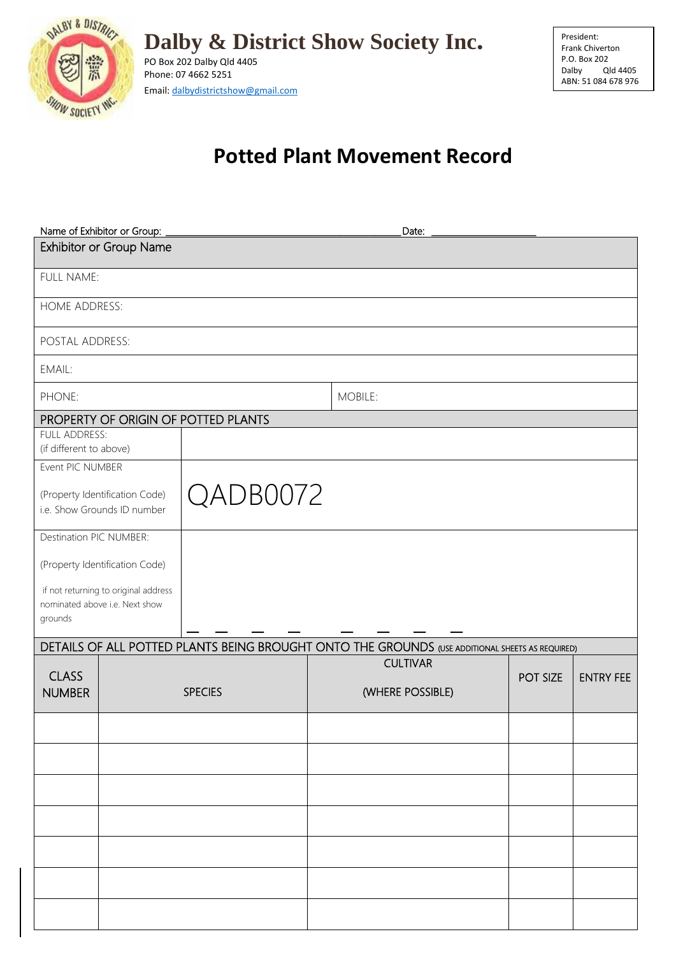

**Dalby & District Show Society Inc.**

PO Box 202 Dalby Qld 4405 Phone: 07 4662 5251 Email: dalbydistrictshow@gmail.com President: Frank Chiverton P.O. Box 202<br>Dalby Q Qld 4405 ABN: 51 084 678 976

## **Potted Plant Movement Record**

| Name of Exhibitor or Group:<br>Date:                                              |                                |                                     |                                                                                                 |          |                  |  |  |  |
|-----------------------------------------------------------------------------------|--------------------------------|-------------------------------------|-------------------------------------------------------------------------------------------------|----------|------------------|--|--|--|
| Exhibitor or Group Name                                                           |                                |                                     |                                                                                                 |          |                  |  |  |  |
| FULL NAME:                                                                        |                                |                                     |                                                                                                 |          |                  |  |  |  |
| HOME ADDRESS:                                                                     |                                |                                     |                                                                                                 |          |                  |  |  |  |
| POSTAL ADDRESS:                                                                   |                                |                                     |                                                                                                 |          |                  |  |  |  |
| EMAIL:                                                                            |                                |                                     |                                                                                                 |          |                  |  |  |  |
| PHONE:                                                                            |                                |                                     | MOBILE:                                                                                         |          |                  |  |  |  |
|                                                                                   |                                | PROPERTY OF ORIGIN OF POTTED PLANTS |                                                                                                 |          |                  |  |  |  |
| FULL ADDRESS:<br>(if different to above)                                          |                                |                                     |                                                                                                 |          |                  |  |  |  |
| Event PIC NUMBER                                                                  |                                |                                     |                                                                                                 |          |                  |  |  |  |
| QADB0072<br>(Property Identification Code)<br>i.e. Show Grounds ID number         |                                |                                     |                                                                                                 |          |                  |  |  |  |
|                                                                                   | Destination PIC NUMBER:        |                                     |                                                                                                 |          |                  |  |  |  |
|                                                                                   | (Property Identification Code) |                                     |                                                                                                 |          |                  |  |  |  |
| if not returning to original address<br>nominated above i.e. Next show<br>grounds |                                |                                     |                                                                                                 |          |                  |  |  |  |
|                                                                                   |                                |                                     | DETAILS OF ALL POTTED PLANTS BEING BROUGHT ONTO THE GROUNDS (USE ADDITIONAL SHEETS AS REQUIRED) |          |                  |  |  |  |
| <b>CLASS</b><br><b>NUMBER</b>                                                     |                                | <b>SPECIES</b>                      | <b>CULTIVAR</b><br>(WHERE POSSIBLE)                                                             | POT SIZE | <b>ENTRY FEE</b> |  |  |  |
|                                                                                   |                                |                                     |                                                                                                 |          |                  |  |  |  |
|                                                                                   |                                |                                     |                                                                                                 |          |                  |  |  |  |
|                                                                                   |                                |                                     |                                                                                                 |          |                  |  |  |  |
|                                                                                   |                                |                                     |                                                                                                 |          |                  |  |  |  |
|                                                                                   |                                |                                     |                                                                                                 |          |                  |  |  |  |
|                                                                                   |                                |                                     |                                                                                                 |          |                  |  |  |  |
|                                                                                   |                                |                                     |                                                                                                 |          |                  |  |  |  |
|                                                                                   |                                |                                     |                                                                                                 |          |                  |  |  |  |